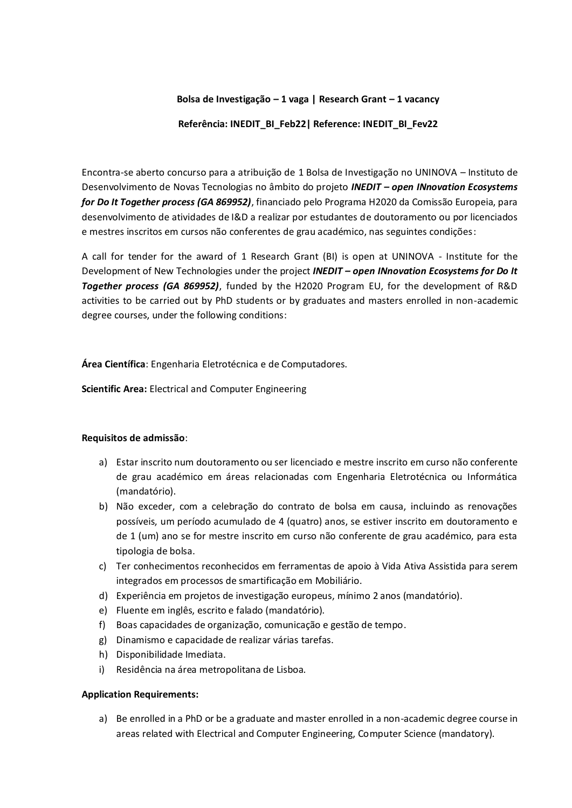#### **Bolsa de Investigação – 1 vaga | Research Grant – 1 vacancy**

#### **Referência: INEDIT\_BI\_Feb22| Reference: INEDIT\_BI\_Fev22**

Encontra-se aberto concurso para a atribuição de 1 Bolsa de Investigação no UNINOVA – Instituto de Desenvolvimento de Novas Tecnologias no âmbito do projeto *INEDIT – open INnovation Ecosystems for Do It Together process (GA 869952)*, financiado pelo Programa H2020 da Comissão Europeia, para desenvolvimento de atividades de I&D a realizar por estudantes de doutoramento ou por licenciados e mestres inscritos em cursos não conferentes de grau académico, nas seguintes condições:

A call for tender for the award of 1 Research Grant (BI) is open at UNINOVA - Institute for the Development of New Technologies under the project *INEDIT – open INnovation Ecosystems for Do It Together process (GA 869952)*, funded by the H2020 Program EU, for the development of R&D activities to be carried out by PhD students or by graduates and masters enrolled in non-academic degree courses, under the following conditions:

**Área Científica**: Engenharia Eletrotécnica e de Computadores.

**Scientific Area:** Electrical and Computer Engineering

### **Requisitos de admissão**:

- a) Estar inscrito num doutoramento ou ser licenciado e mestre inscrito em curso não conferente de grau académico em áreas relacionadas com Engenharia Eletrotécnica ou Informática (mandatório).
- b) Não exceder, com a celebração do contrato de bolsa em causa, incluindo as renovações possíveis, um período acumulado de 4 (quatro) anos, se estiver inscrito em doutoramento e de 1 (um) ano se for mestre inscrito em curso não conferente de grau académico, para esta tipologia de bolsa.
- c) Ter conhecimentos reconhecidos em ferramentas de apoio à Vida Ativa Assistida para serem integrados em processos de smartificação em Mobiliário.
- d) Experiência em projetos de investigação europeus, mínimo 2 anos (mandatório).
- e) Fluente em inglês, escrito e falado (mandatório).
- f) Boas capacidades de organização, comunicação e gestão de tempo.
- g) Dinamismo e capacidade de realizar várias tarefas.
- h) Disponibilidade Imediata.
- i) Residência na área metropolitana de Lisboa.

### **Application Requirements:**

a) Be enrolled in a PhD or be a graduate and master enrolled in a non-academic degree course in areas related with Electrical and Computer Engineering, Computer Science (mandatory).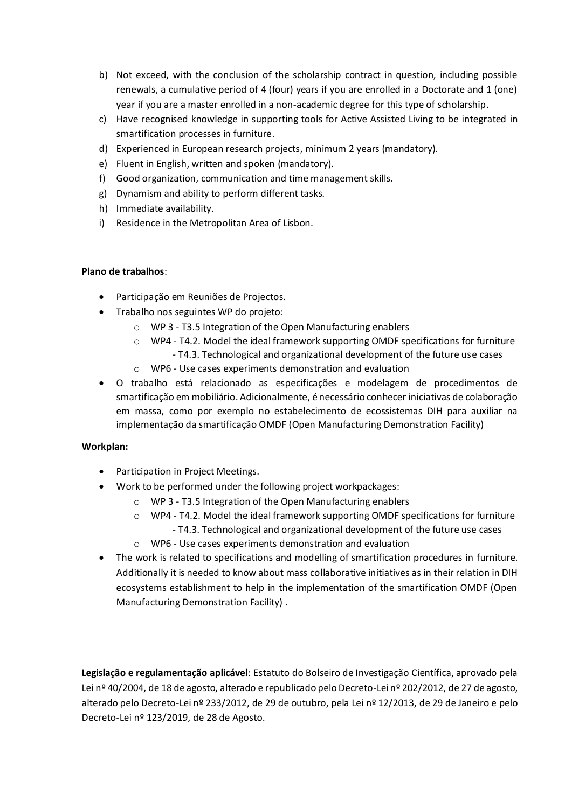- b) Not exceed, with the conclusion of the scholarship contract in question, including possible renewals, a cumulative period of 4 (four) years if you are enrolled in a Doctorate and 1 (one) year if you are a master enrolled in a non-academic degree for this type of scholarship.
- c) Have recognised knowledge in supporting tools for Active Assisted Living to be integrated in smartification processes in furniture.
- d) Experienced in European research projects, minimum 2 years (mandatory).
- e) Fluent in English, written and spoken (mandatory).
- f) Good organization, communication and time management skills.
- g) Dynamism and ability to perform different tasks.
- h) Immediate availability.
- i) Residence in the Metropolitan Area of Lisbon.

# **Plano de trabalhos**:

- Participação em Reuniões de Projectos.
- Trabalho nos seguintes WP do projeto:
	- o WP 3 T3.5 Integration of the Open Manufacturing enablers
	- $\circ$  WP4 T4.2. Model the ideal framework supporting OMDF specifications for furniture - T4.3. Technological and organizational development of the future use cases
	- o WP6 Use cases experiments demonstration and evaluation
- O trabalho está relacionado as especificações e modelagem de procedimentos de smartificação em mobiliário. Adicionalmente, é necessário conhecer iniciativas de colaboração em massa, como por exemplo no estabelecimento de ecossistemas DIH para auxiliar na implementação da smartificação OMDF (Open Manufacturing Demonstration Facility)

# **Workplan:**

- Participation in Project Meetings.
- Work to be performed under the following project workpackages:
	- o WP 3 T3.5 Integration of the Open Manufacturing enablers
	- $\circ$  WP4 T4.2. Model the ideal framework supporting OMDF specifications for furniture
		- T4.3. Technological and organizational development of the future use cases
	- o WP6 Use cases experiments demonstration and evaluation
- The work is related to specifications and modelling of smartification procedures in furniture. Additionally it is needed to know about mass collaborative initiatives as in their relation in DIH ecosystems establishment to help in the implementation of the smartification OMDF (Open Manufacturing Demonstration Facility) .

**Legislação e regulamentação aplicável**: Estatuto do Bolseiro de Investigação Científica, aprovado pela Lei nº 40/2004, de 18 de agosto, alterado e republicado pelo Decreto-Lei nº 202/2012, de 27 de agosto, alterado pelo Decreto-Lei nº 233/2012, de 29 de outubro, pela Lei nº 12/2013, de 29 de Janeiro e pelo Decreto-Lei nº 123/2019, de 28 de Agosto.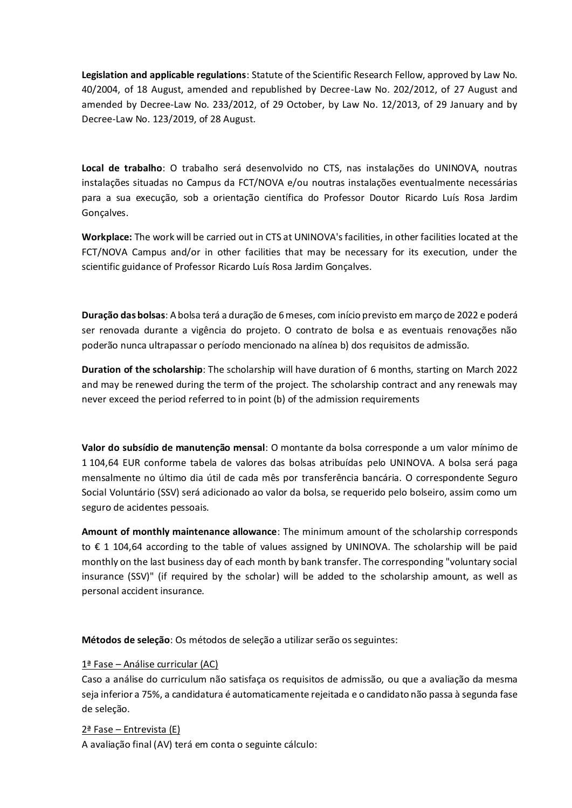**Legislation and applicable regulations**: Statute of the Scientific Research Fellow, approved by Law No. 40/2004, of 18 August, amended and republished by Decree-Law No. 202/2012, of 27 August and amended by Decree-Law No. 233/2012, of 29 October, by Law No. 12/2013, of 29 January and by Decree-Law No. 123/2019, of 28 August.

**Local de trabalho**: O trabalho será desenvolvido no CTS, nas instalações do UNINOVA, noutras instalações situadas no Campus da FCT/NOVA e/ou noutras instalações eventualmente necessárias para a sua execução, sob a orientação científica do Professor Doutor Ricardo Luís Rosa Jardim Gonçalves.

**Workplace:** The work will be carried out in CTS at UNINOVA's facilities, in other facilities located at the FCT/NOVA Campus and/or in other facilities that may be necessary for its execution, under the scientific guidance of Professor Ricardo Luís Rosa Jardim Gonçalves.

**Duração das bolsas**: A bolsa terá a duração de 6meses, com início previsto em março de 2022 e poderá ser renovada durante a vigência do projeto. O contrato de bolsa e as eventuais renovações não poderão nunca ultrapassar o período mencionado na alínea b) dos requisitos de admissão.

**Duration of the scholarship**: The scholarship will have duration of 6 months, starting on March 2022 and may be renewed during the term of the project. The scholarship contract and any renewals may never exceed the period referred to in point (b) of the admission requirements

**Valor do subsídio de manutenção mensal**: O montante da bolsa corresponde a um valor mínimo de 1 104,64 EUR conforme tabela de valores das bolsas atribuídas pelo UNINOVA. A bolsa será paga mensalmente no último dia útil de cada mês por transferência bancária. O correspondente Seguro Social Voluntário (SSV) será adicionado ao valor da bolsa, se requerido pelo bolseiro, assim como um seguro de acidentes pessoais.

**Amount of monthly maintenance allowance**: The minimum amount of the scholarship corresponds to € 1 104,64 according to the table of values assigned by UNINOVA. The scholarship will be paid monthly on the last business day of each month by bank transfer. The corresponding "voluntary social insurance (SSV)" (if required by the scholar) will be added to the scholarship amount, as well as personal accident insurance.

**Métodos de seleção**: Os métodos de seleção a utilizar serão os seguintes:

### 1ª Fase – Análise curricular (AC)

Caso a análise do curriculum não satisfaça os requisitos de admissão, ou que a avaliação da mesma seja inferior a 75%, a candidatura é automaticamente rejeitada e o candidato não passa à segunda fase de seleção.

# 2ª Fase – Entrevista (E)

A avaliação final (AV) terá em conta o seguinte cálculo: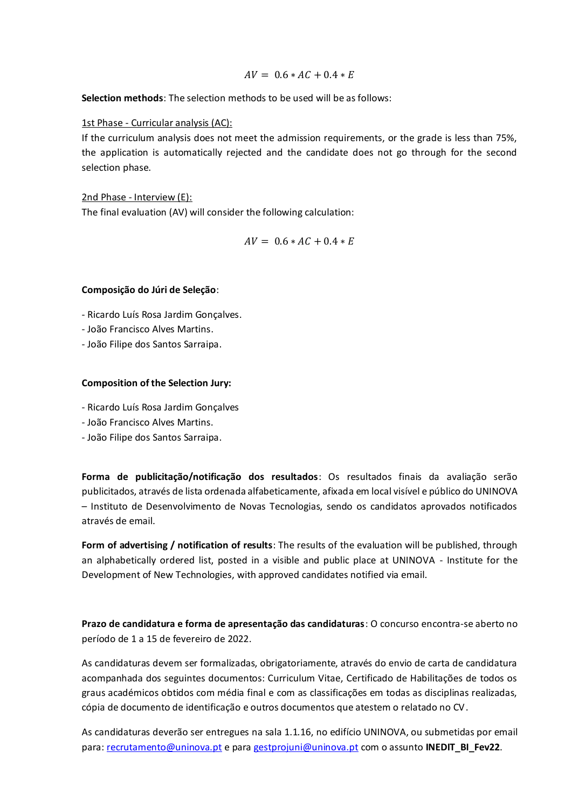$$
AV = 0.6 * AC + 0.4 * E
$$

**Selection methods**: The selection methods to be used will be as follows:

### 1st Phase - Curricular analysis (AC):

If the curriculum analysis does not meet the admission requirements, or the grade is less than 75%, the application is automatically rejected and the candidate does not go through for the second selection phase.

2nd Phase - Interview (E): The final evaluation (AV) will consider the following calculation:

$$
AV = 0.6 * AC + 0.4 * E
$$

## **Composição do Júri de Seleção**:

- Ricardo Luís Rosa Jardim Gonçalves.
- João Francisco Alves Martins.
- João Filipe dos Santos Sarraipa.

## **Composition of the Selection Jury:**

- Ricardo Luís Rosa Jardim Gonçalves
- João Francisco Alves Martins.
- João Filipe dos Santos Sarraipa.

**Forma de publicitação/notificação dos resultados**: Os resultados finais da avaliação serão publicitados, através de lista ordenada alfabeticamente, afixada em local visível e público do UNINOVA – Instituto de Desenvolvimento de Novas Tecnologias, sendo os candidatos aprovados notificados através de email.

**Form of advertising / notification of results**: The results of the evaluation will be published, through an alphabetically ordered list, posted in a visible and public place at UNINOVA - Institute for the Development of New Technologies, with approved candidates notified via email.

**Prazo de candidatura e forma de apresentação das candidaturas**: O concurso encontra-se aberto no período de 1 a 15 de fevereiro de 2022.

As candidaturas devem ser formalizadas, obrigatoriamente, através do envio de carta de candidatura acompanhada dos seguintes documentos: Curriculum Vitae, Certificado de Habilitações de todos os graus académicos obtidos com média final e com as classificações em todas as disciplinas realizadas, cópia de documento de identificação e outros documentos que atestem o relatado no CV.

As candidaturas deverão ser entregues na sala 1.1.16, no edifício UNINOVA, ou submetidas por email para[: recrutamento@uninova.pt](mailto:recrutamento@uninova.pt) e para [gestprojuni@uninova.pt](mailto:gestprojuni@uninova.pt) com o assunto **INEDIT\_BI\_Fev22.**